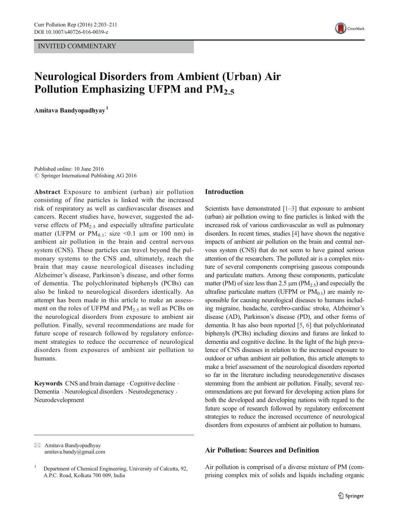INVITED COMMENTARY



# Neurological Disorders from Ambient (Urban) Air Pollution Emphasizing UFPM and  $PM_{2.5}$

Amitava Bandyopadhyay<sup>1</sup>

Published online: 10 June 2016  $\oslash$  Springer International Publishing AG 2016

Abstract Exposure to ambient (urban) air pollution consisting of fine particles is linked with the increased risk of respiratory as well as cardiovascular diseases and cancers. Recent studies have, however, suggested the adverse effects of  $PM<sub>2.5</sub>$  and especially ultrafine particulate matter (UFPM or  $PM_{0,1}$ : size <0.1 µm or 100 nm) in ambient air pollution in the brain and central nervous system (CNS). These particles can travel beyond the pulmonary systems to the CNS and, ultimately, reach the brain that may cause neurological diseases including Alzheimer's disease, Parkinson's disease, and other forms of dementia. The polychlorinated biphenyls (PCBs) can also be linked to neurological disorders identically. An attempt has been made in this article to make an assessment on the roles of UFPM and  $PM_{2.5}$  as well as PCBs on the neurological disorders from exposure to ambient air pollution. Finally, several recommendations are made for future scope of research followed by regulatory enforcement strategies to reduce the occurrence of neurological disorders from exposures of ambient air pollution to humans.

Keywords CNS and brain damage  $\cdot$  Cognitive decline  $\cdot$ Dementia . Neurological disorders . Neurodegeneracy . Neurodevelopment

 $\boxtimes$  Amitava Bandyopadhyay amitava.bandy@gmail.com

#### Introduction

Scientists have demonstrated  $[1-3]$  $[1-3]$  $[1-3]$  that exposure to ambient (urban) air pollution owing to fine particles is linked with the increased risk of various cardiovascular as well as pulmonary disorders. In recent times, studies [\[4\]](#page-7-0) have shown the negative impacts of ambient air pollution on the brain and central nervous system (CNS) that do not seem to have gained serious attention of the researchers. The polluted air is a complex mixture of several components comprising gaseous compounds and particulate matters. Among these components, particulate matter (PM) of size less than 2.5  $\mu$ m (PM<sub>2.5</sub>) and especially the ultrafine particulate matters (UFPM or  $PM_{0.1}$ ) are mainly responsible for causing neurological diseases to humans including migraine, headache, cerebro-cardiac stroke, Alzheimer's disease (AD), Parkinson's disease (PD), and other forms of dementia. It has also been reported [\[5,](#page-7-0) [6\]](#page-7-0) that polychlorinated biphenyls (PCBs) including dioxins and furans are linked to dementia and cognitive decline. In the light of the high prevalence of CNS diseases in relation to the increased exposure to outdoor or urban ambient air pollution, this article attempts to make a brief assessment of the neurological disorders reported so far in the literature including neurodegenerative diseases stemming from the ambient air pollution. Finally, several recommendations are put forward for developing action plans for both the developed and developing nations with regard to the future scope of research followed by regulatory enforcement strategies to reduce the increased occurrence of neurological disorders from exposures of ambient air pollution to humans.

# Air Pollution: Sources and Definition

Air pollution is comprised of a diverse mixture of PM (comprising complex mix of solids and liquids including organic

<sup>1</sup> Department of Chemical Engineering, University of Calcutta, 92, A.P.C. Road, Kolkata 700 009, India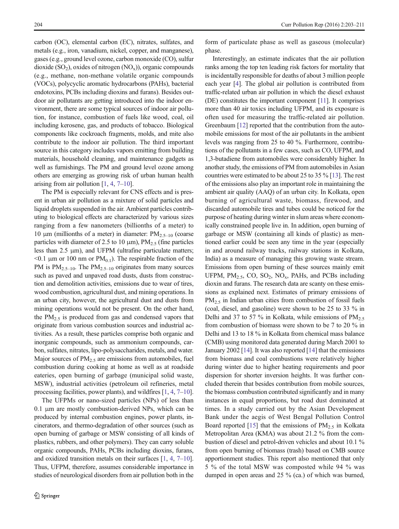carbon (OC), elemental carbon (EC), nitrates, sulfates, and metals (e.g., iron, vanadium, nickel, copper, and manganese), gases (e.g., ground level ozone, carbon monoxide (CO), sulfur dioxide  $(SO<sub>2</sub>)$ , oxides of nitrogen  $(NO<sub>x</sub>)$ ), organic compounds (e.g., methane, non-methane volatile organic compounds (VOCs), polycyclic aromatic hydrocarbons (PAHs), bacterial endotoxins, PCBs including dioxins and furans). Besides outdoor air pollutants are getting introduced into the indoor environment, there are some typical sources of indoor air pollution, for instance, combustion of fuels like wood, coal, oil including kerosene, gas, and products of tobacco. Biological components like cockroach fragments, molds, and mite also contribute to the indoor air pollution. The third important source in this category includes vapors emitting from building materials, household cleaning, and maintenance gadgets as well as furnishings. The PM and ground level ozone among others are emerging as growing risk of urban human health arising from air pollution  $[1, 4, 7-10]$  $[1, 4, 7-10]$  $[1, 4, 7-10]$  $[1, 4, 7-10]$  $[1, 4, 7-10]$  $[1, 4, 7-10]$  $[1, 4, 7-10]$  $[1, 4, 7-10]$  $[1, 4, 7-10]$ .

The PM is especially relevant for CNS effects and is present in urban air pollution as a mixture of solid particles and liquid droplets suspended in the air. Ambient particles contributing to biological effects are characterized by various sizes ranging from a few nanometers (billionths of a meter) to 10 μm (millionths of a meter) in diameter:  $PM<sub>25-10</sub>$  (coarse particles with diameter of 2.5 to 10  $\mu$ m), PM<sub>2.5</sub> (fine particles less than 2.5 μm), and UFPM (ultrafine particulate matters;  $\leq 0.1$  μm or 100 nm or PM<sub>0.1</sub>). The respirable fraction of the PM is  $PM_{2.5-10}$ . The  $PM_{2.5-10}$  originates from many sources such as paved and unpaved road dusts, dusts from construction and demolition activities, emissions due to wear of tires, wood combustion, agricultural dust, and mining operations. In an urban city, however, the agricultural dust and dusts from mining operations would not be present. On the other hand, the PM<sub>2.5</sub> is produced from gas and condensed vapors that originate from various combustion sources and industrial activities. As a result, these particles comprise both organic and inorganic compounds, such as ammonium compounds, carbon, sulfates, nitrates, lipo-polysaccharides, metals, and water. Major sources of  $PM<sub>2.5</sub>$  are emissions from automobiles, fuel combustion during cooking at home as well as at roadside eateries, open burning of garbage (municipal solid waste, MSW), industrial activities (petroleum oil refineries, metal processing facilities, power plants), and wildfires [[1,](#page-7-0) [4](#page-7-0), [7](#page-7-0)–[10\]](#page-7-0).

The UFPMs or nano-sized particles (NPs) of less than 0.1 μm are mostly combustion-derived NPs, which can be produced by internal combustion engines, power plants, incinerators, and thermo-degradation of other sources (such as open burning of garbage or MSW consisting of all kinds of plastics, rubbers, and other polymers). They can carry soluble organic compounds, PAHs, PCBs including dioxins, furans, and oxidized transition metals on their surfaces [\[1](#page-7-0), [4](#page-7-0), [7](#page-7-0)–[10\]](#page-7-0). Thus, UFPM, therefore, assumes considerable importance in studies of neurological disorders from air pollution both in the form of particulate phase as well as gaseous (molecular) phase.

Interestingly, an estimate indicates that the air pollution ranks among the top ten leading risk factors for mortality that is incidentally responsible for deaths of about 3 million people each year [[4\]](#page-7-0). The global air pollution is contributed from traffic-related urban air pollution in which the diesel exhaust (DE) constitutes the important component [[11](#page-7-0)]. It comprises more than 40 air toxics including UFPM, and its exposure is often used for measuring the traffic-related air pollution. Greenbaum [\[12\]](#page-8-0) reported that the contribution from the automobile emissions for most of the air pollutants in the ambient levels was ranging from 25 to 40 %. Furthermore, contributions of the pollutants in a few cases, such as CO, UFPM, and 1,3-butadiene from automobiles were considerably higher. In another study, the emissions of PM from automobiles in Asian countries were estimated to be about 25 to 35 % [[13](#page-8-0)]. The rest of the emissions also play an important role in maintaining the ambient air quality (AAQ) of an urban city. In Kolkata, open burning of agricultural waste, biomass, firewood, and discarded automobile tires and tubes could be noticed for the purpose of heating during winter in slum areas where economically constrained people live in. In addition, open burning of garbage or MSW (containing all kinds of plastic) as mentioned earlier could be seen any time in the year (especially in and around railway tracks, railway stations in Kolkata, India) as a measure of managing this growing waste stream. Emissions from open burning of these sources mainly emit UFPM,  $PM_{2.5}$ , CO, SO<sub>2</sub>, NO<sub>x</sub>, PAHs, and PCBs including dioxin and furans. The research data are scanty on these emissions as explained next. Estimates of primary emissions of  $PM<sub>2.5</sub>$  in Indian urban cities from combustion of fossil fuels (coal, diesel, and gasoline) were shown to be 25 to 33 % in Delhi and 37 to 57 % in Kolkata, while emissions of  $PM<sub>2.5</sub>$ from combustion of biomass were shown to be 7 to 20 % in Delhi and 13 to 18 % in Kolkata from chemical mass balance (CMB) using monitored data generated during March 2001 to January 2002 [\[14\]](#page-8-0). It was also reported [[14](#page-8-0)] that the emissions from biomass and coal combustions were relatively higher during winter due to higher heating requirements and poor dispersion for shorter inversion heights. It was further concluded therein that besides contribution from mobile sources, the biomass combustion contributed significantly and in many instances in equal proportions, but road dust dominated at times. In a study carried out by the Asian Development Bank under the aegis of West Bengal Pollution Control Board reported [\[15](#page-8-0)] that the emissions of  $PM_{2,5}$  in Kolkata Metropolitan Area (KMA) was about 21.2 % from the combustion of diesel and petrol-driven vehicles and about 10.1 % from open burning of biomass (trash) based on CMB source apportionment studies. This report also mentioned that only 5 % of the total MSW was composted while 94 % was dumped in open areas and 25 % (ca.) of which was burned,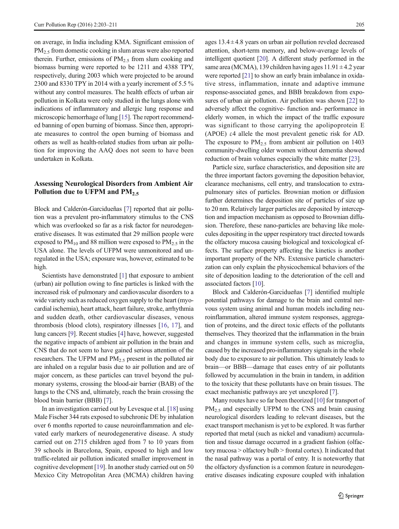on average, in India including KMA. Significant emission of PM<sub>2.5</sub> from domestic cooking in slum areas were also reported therein. Further, emissions of  $PM_{2.5}$  from slum cooking and biomass burning were reported to be 1211 and 4388 TPY, respectively, during 2003 which were projected to be around 2300 and 8330 TPY in 2014 with a yearly increment of 5.5 % without any control measures. The health effects of urban air pollution in Kolkata were only studied in the lungs alone with indications of inflammatory and allergic lung response and microscopic hemorrhage of lung [[15\]](#page-8-0). The report recommended banning of open burning of biomass. Since then, appropriate measures to control the open burning of biomass and others as well as health-related studies from urban air pollution for improving the AAQ does not seem to have been undertaken in Kolkata.

## Assessing Neurological Disorders from Ambient Air Pollution due to UFPM and PM<sub>2.5</sub>

Block and Calderón-Garcidueñas [\[7](#page-7-0)] reported that air pollution was a prevalent pro-inflammatory stimulus to the CNS which was overlooked so far as a risk factor for neurodegenerative diseases. It was estimated that 29 million people were exposed to  $PM_{10}$  and 88 million were exposed to  $PM_{2.5}$  in the USA alone. The levels of UFPM were unmonitored and unregulated in the USA; exposure was, however, estimated to be high.

Scientists have demonstrated [\[1](#page-7-0)] that exposure to ambient (urban) air pollution owing to fine particles is linked with the increased risk of pulmonary and cardiovascular disorders to a wide variety such as reduced oxygen supply to the heart (myocardial ischemia), heart attack, heart failure, stroke, arrhythmia and sudden death, other cardiovascular diseases, venous thrombosis (blood clots), respiratory illnesses [[16,](#page-8-0) [17\]](#page-8-0), and lung cancers [\[9\]](#page-7-0). Recent studies [\[4](#page-7-0)] have, however, suggested the negative impacts of ambient air pollution in the brain and CNS that do not seem to have gained serious attention of the researchers. The UFPM and  $PM_{2.5}$  present in the polluted air are inhaled on a regular basis due to air pollution and are of major concern, as these particles can travel beyond the pulmonary systems, crossing the blood-air barrier (BAB) of the lungs to the CNS and, ultimately, reach the brain crossing the blood brain barrier (BBB) [\[7](#page-7-0)].

In an investigation carried out by Levesque et al. [\[18\]](#page-8-0) using Male Fischer 344 rats exposed to subchronic DE by inhalation over 6 months reported to cause neuroinflammation and elevated early markers of neurodegenerative disease. A study carried out on 2715 children aged from 7 to 10 years from 39 schools in Barcelona, Spain, exposed to high and low traffic-related air pollution indicated smaller improvement in cognitive development [\[19\]](#page-8-0). In another study carried out on 50 Mexico City Metropolitan Area (MCMA) children having ages  $13.4 \pm 4.8$  years on urban air pollution reveled decreased attention, short-term memory, and below-average levels of intelligent quotient [\[20\]](#page-8-0). A different study performed in the same area (MCMA), 139 children having ages  $11.91 \pm 4.2$  year were reported [[21](#page-8-0)] to show an early brain imbalance in oxidative stress, inflammation, innate and adaptive immune response-associated genes, and BBB breakdown from exposures of urban air pollution. Air pollution was shown [[22\]](#page-8-0) to adversely affect the cognitive- function and- performance in elderly women, in which the impact of the traffic exposure was significant to those carrying the apolipoprotein E (APOE) ε4 allele the most prevalent genetic risk for AD. The exposure to  $PM_{2.5}$  from ambient air pollution on 1403 community-dwelling older women without dementia showed reduction of brain volumes especially the white matter [\[23\]](#page-8-0).

Particle size, surface characteristics, and deposition site are the three important factors governing the deposition behavior, clearance mechanisms, cell entry, and translocation to extrapulmonary sites of particles. Brownian motion or diffusion further determines the deposition site of particles of size up to 20 nm. Relatively larger particles are deposited by interception and impaction mechanism as opposed to Brownian diffusion. Therefore, these nano-particles are behaving like molecules depositing in the upper respiratory tract directed towards the olfactory mucosa causing biological and toxicological effects. The surface property affecting the kinetics is another important property of the NPs. Extensive particle characterization can only explain the physicochemical behaviors of the site of deposition leading to the deterioration of the cell and associated factors [\[10\]](#page-7-0).

Block and Calderón-Garcidueñas [\[7](#page-7-0)] identified multiple potential pathways for damage to the brain and central nervous system using animal and human models including neuroinflammation, altered immune system responses, aggregation of proteins, and the direct toxic effects of the pollutants themselves. They theorized that the inflammation in the brain and changes in immune system cells, such as microglia, caused by the increased pro-inflammatory signals in the whole body due to exposure to air pollution. This ultimately leads to brain—or BBB—damage that eases entry of air pollutants followed by accumulation in the brain in tandem, in addition to the toxicity that these pollutants have on brain tissues. The exact mechanistic pathways are yet unexplored [\[7](#page-7-0)].

Many routes have so far been theorized [\[10\]](#page-7-0) for transport of PM<sub>2.5</sub> and especially UFPM to the CNS and brain causing neurological disorders leading to relevant diseases, but the exact transport mechanism is yet to be explored. It was further reported that metal (such as nickel and vanadium) accumulation and tissue damage occurred in a gradient fashion (olfactory mucosa > olfactory bulb > frontal cortex). It indicated that the nasal pathway was a portal of entry. It is noteworthy that the olfactory dysfunction is a common feature in neurodegenerative diseases indicating exposure coupled with inhalation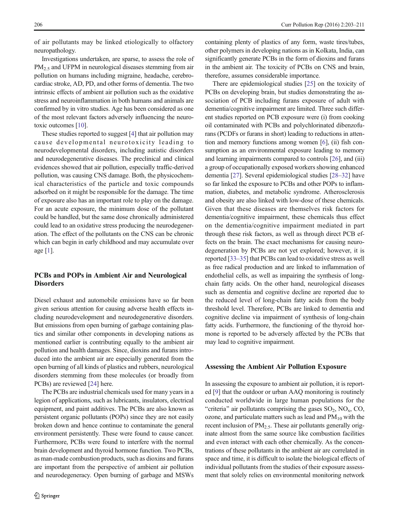of air pollutants may be linked etiologically to olfactory neuropathology.

Investigations undertaken, are sparse, to assess the role of PM<sub>2.5</sub> and UFPM in neurological diseases stemming from air pollution on humans including migraine, headache, cerebrocardiac stroke, AD, PD, and other forms of dementia. The two intrinsic effects of ambient air pollution such as the oxidative stress and neuroinflammation in both humans and animals are confirmed by in vitro studies. Age has been considered as one of the most relevant factors adversely influencing the neurotoxic outcomes [\[10\]](#page-7-0).

These studies reported to suggest [[4\]](#page-7-0) that air pollution may cause developmental neurotoxicity leading to neurodevelopmental disorders, including autistic disorders and neurodegenerative diseases. The preclinical and clinical evidences showed that air pollution, especially traffic-derived pollution, was causing CNS damage. Both, the physicochemical characteristics of the particle and toxic compounds adsorbed on it might be responsible for the damage. The time of exposure also has an important role to play on the damage. For an acute exposure, the minimum dose of the pollutant could be handled, but the same dose chronically administered could lead to an oxidative stress producing the neurodegeneration. The effect of the pollutants on the CNS can be chronic which can begin in early childhood and may accumulate over age [\[1](#page-7-0)].

### PCBs and POPs in Ambient Air and Neurological **Disorders**

Diesel exhaust and automobile emissions have so far been given serious attention for causing adverse health effects including neurodevelopment and neurodegenerative disorders. But emissions from open burning of garbage containing plastics and similar other components in developing nations as mentioned earlier is contributing equally to the ambient air pollution and health damages. Since, dioxins and furans introduced into the ambient air are especially generated from the open burning of all kinds of plastics and rubbers, neurological disorders stemming from these molecules (or broadly from PCBs) are reviewed [[24](#page-8-0)] here.

The PCBs are industrial chemicals used for many years in a legion of applications, such as lubricants, insulators, electrical equipment, and paint additives. The PCBs are also known as persistent organic pollutants (POPs) since they are not easily broken down and hence continue to contaminate the general environment persistently. These were found to cause cancer. Furthermore, PCBs were found to interfere with the normal brain development and thyroid hormone function. Two PCBs, as man-made combustion products, such as dioxins and furans are important from the perspective of ambient air pollution and neurodegeneracy. Open burning of garbage and MSWs containing plenty of plastics of any form, waste tires/tubes, other polymers in developing nations as in Kolkata, India, can significantly generate PCBs in the form of dioxins and furans in the ambient air. The toxicity of PCBs on CNS and brain, therefore, assumes considerable importance.

There are epidemiological studies [\[25\]](#page-8-0) on the toxicity of PCBs on developing brain, but studies demonstrating the association of PCB including furans exposure of adult with dementia/cognitive impairment are limited. Three such different studies reported on PCB exposure were (i) from cooking oil contaminated with PCBs and polychlorinated dibenzofurans (PCDFs or furans in short) leading to reductions in attention and memory functions among women [\[6](#page-7-0)], (ii) fish consumption as an environmental exposure leading to memory and learning impairments compared to controls [\[26](#page-8-0)], and (iii) a group of occupationally exposed workers showing enhanced dementia [[27](#page-8-0)]. Several epidemiological studies [\[28](#page-8-0)–[32\]](#page-8-0) have so far linked the exposure to PCBs and other POPs to inflammation, diabetes, and metabolic syndrome. Atherosclerosis and obesity are also linked with low-dose of these chemicals. Given that these diseases are themselves risk factors for dementia/cognitive impairment, these chemicals thus effect on the dementia/cognitive impairment mediated in part through these risk factors, as well as through direct PCB effects on the brain. The exact mechanisms for causing neurodegeneration by PCBs are not yet explored; however, it is reported [\[33](#page-8-0)–[35\]](#page-8-0) that PCBs can lead to oxidative stress as well as free radical production and are linked to inflammation of endothelial cells, as well as impairing the synthesis of longchain fatty acids. On the other hand, neurological diseases such as dementia and cognitive decline are reported due to the reduced level of long-chain fatty acids from the body threshold level. Therefore, PCBs are linked to dementia and cognitive decline via impairment of synthesis of long-chain fatty acids. Furthermore, the functioning of the thyroid hormone is reported to be adversely affected by the PCBs that may lead to cognitive impairment.

#### Assessing the Ambient Air Pollution Exposure

In assessing the exposure to ambient air pollution, it is reported [\[9\]](#page-7-0) that the outdoor or urban AAQ monitoring is routinely conducted worldwide in large human populations for the "criteria" air pollutants comprising the gases  $SO_2$ ,  $NO_x$ ,  $CO$ , ozone, and particulate matters such as lead and  $PM_{10}$  with the recent inclusion of  $PM_{2.5}$ . These air pollutants generally originate almost from the same source like combustion facilities and even interact with each other chemically. As the concentrations of these pollutants in the ambient air are correlated in space and time, it is difficult to isolate the biological effects of individual pollutants from the studies of their exposure assessment that solely relies on environmental monitoring network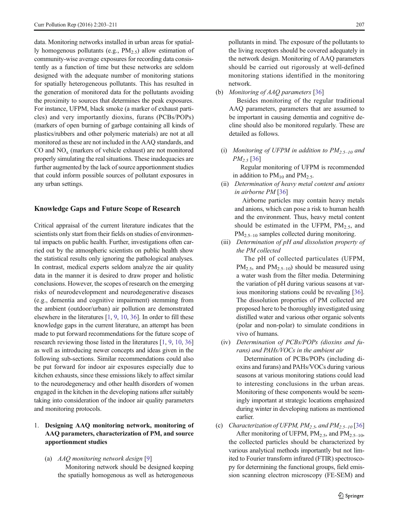data. Monitoring networks installed in urban areas for spatially homogenous pollutants (e.g.,  $PM_2$ , allow estimation of community-wise average exposures for recording data consistently as a function of time but these networks are seldom designed with the adequate number of monitoring stations for spatially heterogeneous pollutants. This has resulted in the generation of monitored data for the pollutants avoiding the proximity to sources that determines the peak exposures. For instance, UFPM, black smoke (a marker of exhaust particles) and very importantly dioxins, furans (PCBs/POPs) (markers of open burning of garbage containing all kinds of plastics/rubbers and other polymeric materials) are not at all monitored as these are not included in the AAQ standards, and CO and  $NO<sub>x</sub>$  (markers of vehicle exhaust) are not monitored properly simulating the real situations. These inadequacies are further augmented by the lack of source apportionment studies that could inform possible sources of pollutant exposures in any urban settings.

#### Knowledge Gaps and Future Scope of Research

Critical appraisal of the current literature indicates that the scientists only start from their fields on studies of environmental impacts on public health. Further, investigations often carried out by the atmospheric scientists on public health show the statistical results only ignoring the pathological analyses. In contrast, medical experts seldom analyze the air quality data in the manner it is desired to draw proper and holistic conclusions. However, the scopes of research on the emerging risks of neurodevelopment and neurodegenerative diseases (e.g., dementia and cognitive impairment) stemming from the ambient (outdoor/urban) air pollution are demonstrated elsewhere in the literatures [\[1](#page-7-0), [9,](#page-7-0) [10,](#page-7-0) [36](#page-8-0)]. In order to fill these knowledge gaps in the current literature, an attempt has been made to put forward recommendations for the future scope of research reviewing those listed in the literatures [[1](#page-7-0), [9](#page-7-0), [10](#page-7-0), [36\]](#page-8-0) as well as introducing newer concepts and ideas given in the following sub-sections. Similar recommendations could also be put forward for indoor air exposures especially due to kitchen exhausts, since these emissions likely to affect similar to the neurodegeneracy and other health disorders of women engaged in the kitchen in the developing nations after suitably taking into consideration of the indoor air quality parameters and monitoring protocols.

# 1. Designing AAQ monitoring network, monitoring of AAQ parameters, characterization of PM, and source apportionment studies

(a) AAQ monitoring network design [[9\]](#page-7-0)

Monitoring network should be designed keeping the spatially homogenous as well as heterogeneous pollutants in mind. The exposure of the pollutants to the living receptors should be covered adequately in the network design. Monitoring of AAQ parameters should be carried out rigorously at well-defined monitoring stations identified in the monitoring network.

(b) Monitoring of AAQ parameters [[36](#page-8-0)]

Besides monitoring of the regular traditional AAQ parameters, parameters that are assumed to be important in causing dementia and cognitive decline should also be monitored regularly. These are detailed as follows.

(i) Monitoring of UFPM in addition to  $PM_{2.5-10}$  and  $PM_2$ , [[36](#page-8-0)]

Regular monitoring of UFPM is recommended in addition to  $PM_{10}$  and  $PM_{2.5}$ .

(ii) Determination of heavy metal content and anions in airborne PM [\[36\]](#page-8-0)

Airborne particles may contain heavy metals and anions, which can pose a risk to human health and the environment. Thus, heavy metal content should be estimated in the UFPM,  $PM_{2.5}$ , and  $PM<sub>2.5–10</sub>$  samples collected during monitoring.

(iii) Determination of pH and dissolution property of the PM collected

> The pH of collected particulates (UFPM,  $PM_{2.5}$ , and  $PM_{2.5-10}$ ) should be measured using a water wash from the filter media. Determining the variation of pH during various seasons at various monitoring stations could be revealing [[36\]](#page-8-0). The dissolution properties of PM collected are proposed here to be thoroughly investigated using distilled water and various other organic solvents (polar and non-polar) to simulate conditions in vivo of humans.

(iv) Determination of PCBs/POPs (dioxins and furans) and PAHs/VOCs in the ambient air

> Determination of PCBs/POPs (including dioxins and furans) and PAHs/VOCs during various seasons at various monitoring stations could lead to interesting conclusions in the urban areas. Monitoring of these components would be seemingly important at strategic locations emphasized during winter in developing nations as mentioned earlier.

(c) Characterization of UFPM, PM<sub>2.5</sub>, and PM<sub>2.5–10</sub> [\[36](#page-8-0)] After monitoring of UFPM,  $PM_{2.5}$ , and  $PM_{2.5-10}$ , the collected particles should be characterized by various analytical methods importantly but not limited to Fourier transform infrared (FTIR) spectroscopy for determining the functional groups, field emission scanning electron microscopy (FE-SEM) and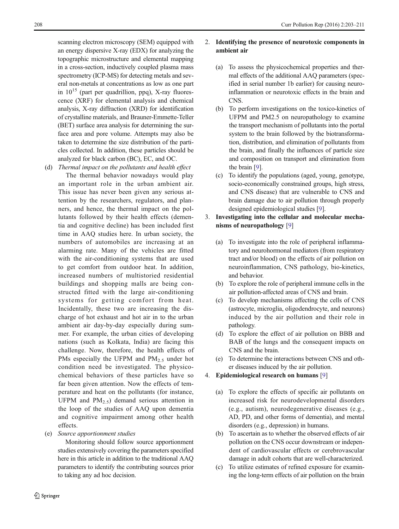scanning electron microscopy (SEM) equipped with an energy dispersive X-ray (EDX) for analyzing the topographic microstructure and elemental mapping in a cross-section, inductively coupled plasma mass spectrometry (ICP-MS) for detecting metals and several non-metals at concentrations as low as one part in  $10^{15}$  (part per quadrillion, ppq), X-ray fluorescence (XRF) for elemental analysis and chemical analysis, X-ray diffraction (XRD) for identification of crystalline materials, and Brauner-Emmette-Teller (BET) surface area analysis for determining the surface area and pore volume. Attempts may also be taken to determine the size distribution of the particles collected. In addition, these particles should be analyzed for black carbon (BC), EC, and OC.

- (d) Thermal impact on the pollutants and health effect The thermal behavior nowadays would play an important role in the urban ambient air. This issue has never been given any serious attention by the researchers, regulators, and planners, and hence, the thermal impact on the pollutants followed by their health effects (dementia and cognitive decline) has been included first time in AAQ studies here. In urban society, the numbers of automobiles are increasing at an alarming rate. Many of the vehicles are fitted with the air-conditioning systems that are used to get comfort from outdoor heat. In addition, increased numbers of multistoried residential buildings and shopping malls are being constructed fitted with the large air-conditioning systems for getting comfort from heat. Incidentally, these two are increasing the discharge of hot exhaust and hot air in to the urban ambient air day-by-day especially during summer. For example, the urban cities of developing nations (such as Kolkata, India) are facing this challenge. Now, therefore, the health effects of PMs especially the UFPM and  $PM_2$ , under hot condition need be investigated. The physicochemical behaviors of these particles have so far been given attention. Now the effects of temperature and heat on the pollutants (for instance, UFPM and  $PM_{2.5}$ ) demand serious attention in the loop of the studies of AAQ upon dementia and cognitive impairment among other health effects.
- (e) Source apportionment studies

Monitoring should follow source apportionment studies extensively covering the parameters specified here in this article in addition to the traditional AAQ parameters to identify the contributing sources prior to taking any ad hoc decision.

# 2. Identifying the presence of neurotoxic components in ambient air

- (a) To assess the physicochemical properties and thermal effects of the additional AAQ parameters (specified in serial number 1b earlier) for causing neuroinflammation or neurotoxic effects in the brain and CNS.
- (b) To perform investigations on the toxico-kinetics of UFPM and PM2.5 on neuropathology to examine the transport mechanism of pollutants into the portal system to the brain followed by the biotransformation, distribution, and elimination of pollutants from the brain, and finally the influences of particle size and composition on transport and elimination from the brain [\[9\]](#page-7-0).
- (c) To identify the populations (aged, young, genotype, socio-economically constrained groups, high stress, and CNS disease) that are vulnerable to CNS and brain damage due to air pollution through properly designed epidemiological studies [[9\]](#page-7-0).

# 3. Investigating into the cellular and molecular mechanisms of neuropathology [\[9](#page-7-0)]

- (a) To investigate into the role of peripheral inflammatory and neurohormonal mediators (from respiratory tract and/or blood) on the effects of air pollution on neuroinflammation, CNS pathology, bio-kinetics, and behavior.
- (b) To explore the role of peripheral immune cells in the air pollution-affected areas of CNS and brain.
- (c) To develop mechanisms affecting the cells of CNS (astrocyte, microglia, oligodendrocyte, and neurons) induced by the air pollution and their role in pathology.
- (d) To explore the effect of air pollution on BBB and BAB of the lungs and the consequent impacts on CNS and the brain.
- (e) To determine the interactions between CNS and other diseases induced by the air pollution.

# 4. Epidemiological research on humans [\[9](#page-7-0)]

- (a) To explore the effects of specific air pollutants on increased risk for neurodevelopmental disorders (e.g., autism), neurodegenerative diseases (e.g., AD, PD, and other forms of dementia), and mental disorders (e.g., depression) in humans.
- (b) To ascertain as to whether the observed effects of air pollution on the CNS occur downstream or independent of cardiovascular effects or cerebrovascular damage in adult cohorts that are well-characterized.
- (c) To utilize estimates of refined exposure for examining the long-term effects of air pollution on the brain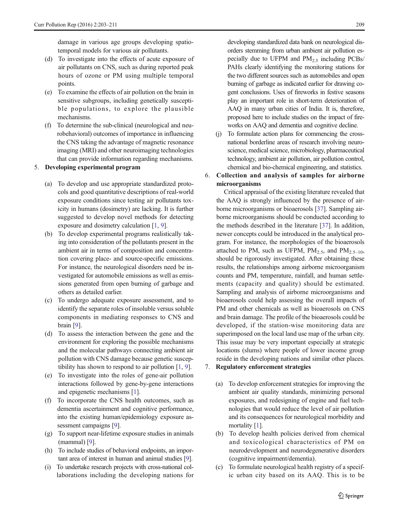damage in various age groups developing spatiotemporal models for various air pollutants.

- (d) To investigate into the effects of acute exposure of air pollutants on CNS, such as during reported peak hours of ozone or PM using multiple temporal points.
- (e) To examine the effects of air pollution on the brain in sensitive subgroups, including genetically susceptible populations, to explore the plausible mechanisms.
- (f) To determine the sub-clinical (neurological and neurobehavioral) outcomes of importance in influencing the CNS taking the advantage of magnetic resonance imaging (MRI) and other neuroimaging technologies that can provide information regarding mechanisms.

#### 5. Developing experimental program

- (a) To develop and use appropriate standardized protocols and good quantitative descriptions of real-world exposure conditions since testing air pollutants toxicity in humans (dosimetry) are lacking. It is further suggested to develop novel methods for detecting exposure and dosimetry calculation [\[1,](#page-7-0) [9\]](#page-7-0).
- (b) To develop experimental programs realistically taking into consideration of the pollutants present in the ambient air in terms of composition and concentration covering place- and source-specific emissions. For instance, the neurological disorders need be investigated for automobile emissions as well as emissions generated from open burning of garbage and others as detailed earlier.
- (c) To undergo adequate exposure assessment, and to identify the separate roles of insoluble versus soluble components in mediating responses to CNS and brain [\[9\]](#page-7-0).
- (d) To assess the interaction between the gene and the environment for exploring the possible mechanisms and the molecular pathways connecting ambient air pollution with CNS damage because genetic susceptibility has shown to respond to air pollution [[1,](#page-7-0) [9\]](#page-7-0).
- (e) To investigate into the roles of gene-air pollution interactions followed by gene-by-gene interactions and epigenetic mechanisms [\[1](#page-7-0)].
- (f) To incorporate the CNS health outcomes, such as dementia ascertainment and cognitive performance, into the existing human/epidemiology exposure as-sessment campaigns [\[9](#page-7-0)].
- (g) To support near-lifetime exposure studies in animals (mammal) [[9\]](#page-7-0).
- (h) To include studies of behavioral endpoints, an important area of interest in human and animal studies [[9](#page-7-0)].
- (i) To undertake research projects with cross-national collaborations including the developing nations for

developing standardized data bank on neurological disorders stemming from urban ambient air pollution especially due to UFPM and  $PM_{2.5}$  including PCBs/ PAHs clearly identifying the monitoring stations for the two different sources such as automobiles and open burning of garbage as indicated earlier for drawing cogent conclusions. Uses of fireworks in festive seasons play an important role in short-term deterioration of AAQ in many urban cities of India. It is, therefore, proposed here to include studies on the impact of fireworks on AAQ and dementia and cognitive decline.

(j) To formulate action plans for commencing the crossnational borderline areas of research involving neuroscience, medical science, microbiology, pharmaceutical technology, ambient air pollution, air pollution control, chemical and bio-chemical engineering, and statistics.

## 6. Collection and analysis of samples for airborne microorganisms

Critical appraisal of the existing literature revealed that the AAQ is strongly influenced by the presence of airborne microorganisms or bioaerosols [\[37](#page-8-0)]. Sampling airborne microorganisms should be conducted according to the methods described in the literature [\[37](#page-8-0)]. In addition, newer concepts could be introduced in the analytical program. For instance, the morphologies of the bioaerosols attached to PM, such as UFPM,  $PM_{2.5}$ , and  $PM_{2.5-10}$ , should be rigorously investigated. After obtaining these results, the relationships among airborne microorganism counts and PM, temperature, rainfall, and human settlements (capacity and quality) should be estimated. Sampling and analysis of airborne microorganisms and bioaerosols could help assessing the overall impacts of PM and other chemicals as well as bioaerosols on CNS and brain damage. The profile of the bioaerosols could be developed, if the station-wise monitoring data are superimposed on the local land use map of the urban city. This issue may be very important especially at strategic locations (slums) where people of lower income group reside in the developing nations and similar other places.

#### 7. Regulatory enforcement strategies

- (a) To develop enforcement strategies for improving the ambient air quality standards, minimizing personal exposures, and redesigning of engine and fuel technologies that would reduce the level of air pollution and its consequences for neurological morbidity and mortality [\[1](#page-7-0)].
- (b) To develop health policies derived from chemical and toxicological characteristics of PM on neurodevelopment and neurodegenerative disorders (cognitive impairment/dementia).
- (c) To formulate neurological health registry of a specific urban city based on its AAQ. This is to be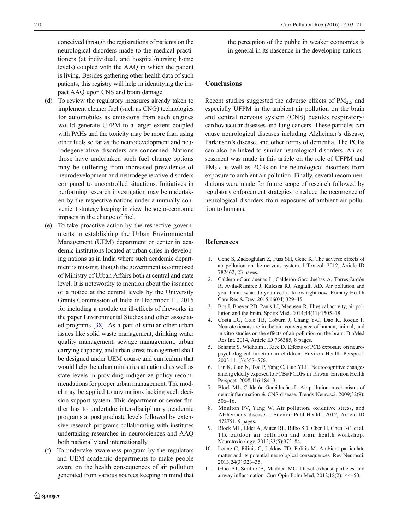<span id="page-7-0"></span>conceived through the registrations of patients on the neurological disorders made to the medical practitioners (at individual, and hospital/nursing home levels) coupled with the AAQ in which the patient is living. Besides gathering other health data of such patients, this registry will help in identifying the impact AAQ upon CNS and brain damage.

- (d) To review the regulatory measures already taken to implement cleaner fuel (such as CNG) technologies for automobiles as emissions from such engines would generate UFPM to a larger extent coupled with PAHs and the toxicity may be more than using other fuels so far as the neurodevelopment and neurodegenerative disorders are concerned. Nations those have undertaken such fuel change options may be suffering from increased prevalence of neurodevelopment and neurodegenerative disorders compared to uncontrolled situations. Initiatives in performing research investigation may be undertaken by the respective nations under a mutually convenient strategy keeping in view the socio-economic impacts in the change of fuel.
- (e) To take proactive action by the respective governments in establishing the Urban Environmental Management (UEM) department or center in academic institutions located at urban cities in developing nations as in India where such academic department is missing, though the government is composed of Ministry of Urban Affairs both at central and state level. It is noteworthy to mention about the issuance of a notice at the central levels by the University Grants Commission of India in December 11, 2015 for including a module on ill-effects of fireworks in the paper Environmental Studies and other associated programs [\[38](#page-8-0)]. As a part of similar other urban issues like solid waste management, drinking water quality management, sewage management, urban carrying capacity, and urban stress management shall be designed under UEM course and curriculum that would help the urban ministries at national as well as state levels in providing indigenize policy recommendations for proper urban management. The model may be applied to any nations lacking such decision support system. This department or center further has to undertake inter-disciplinary academic programs at post graduate levels followed by extensive research programs collaborating with institutes undertaking researches in neurosciences and AAQ both nationally and internationally.
- (f) To undertake awareness program by the regulators and UEM academic departments to make people aware on the health consequences of air pollution generated from various sources keeping in mind that

the perception of the public in weaker economies is in general in its nascence in the developing nations.

#### **Conclusions**

Recent studies suggested the adverse effects of  $PM_{2.5}$  and especially UFPM in the ambient air pollution on the brain and central nervous system (CNS) besides respiratory/ cardiovascular diseases and lung cancers. These particles can cause neurological diseases including Alzheimer's disease, Parkinson's disease, and other forms of dementia. The PCBs can also be linked to similar neurological disorders. An assessment was made in this article on the role of UFPM and PM2.5 as well as PCBs on the neurological disorders from exposure to ambient air pollution. Finally, several recommendations were made for future scope of research followed by regulatory enforcement strategies to reduce the occurrence of neurological disorders from exposures of ambient air pollution to humans.

#### **References**

- 1. Genc S, Zadeoglulari Z, Fuss SH, Genc K. The adverse effects of air pollution on the nervous system. J Toxicol. 2012, Article ID 782462, 23 pages.
- 2. Calderón-Garcidueñas L, Calderón-Garcidueñas A, Torres-Jardón R, Avila-Ramírez J, Kulesza RJ, Angiulli AD. Air pollution and your brain: what do you need to know right now. Primary Health Care Res & Dev. 2015;16(04):329–45.
- 3. Bos I, Boever PD, Panis LI, Meeusen R. Physical activity, air pollution and the brain. Sports Med. 2014;44(11):1505–18.
- 4. Costa LG, Cole TB, Coburn J, Chang Y-C, Dao K, Roque P. Neurotoxicants are in the air: convergence of human, animal, and in vitro studies on the effects of air pollution on the brain. BioMed Res Int. 2014, Article ID 736385, 8 pages.
- 5. Schantz S, Widholm J, Rice D. Effects of PCB exposure on neuropsychological function in children. Environ Health Perspect. 2003;111(3):357–576.
- 6. Lin K, Guo N, Tsai P, Yang C, Guo YLL. Neurocognitive changes among elderly exposed to PCBs/PCDFs in Taiwan. Environ Health Perspect. 2008;116:184–9.
- 7. Block ML, Calderón-Garcidueñas L. Air pollution: mechanisms of neuroinflammation & CNS disease. Trends Neurosci. 2009;32(9): 506–16.
- 8. Moulton PV, Yang W. Air pollution, oxidative stress, and Alzheimer's disease. J Environ Publ Health. 2012, Article ID 472751, 9 pages.
- 9. Block ML, Elder A, Auten RL, Bilbo SD, Chen H, Chen J-C, et al. The outdoor air pollution and brain health workshop. Neurotoxicology. 2012;33(5):972–84.
- 10. Loane C, Pilinis C, Lekkas TD, Politis M. Ambient particulate matter and its potential neurological consequences. Rev Neurosci. 2013;24(3):323–35.
- 11. Ghio AJ, Smith CB, Madden MC. Diesel exhaust particles and airway inflammation. Curr Opin Pulm Med. 2012;18(2):144–50.